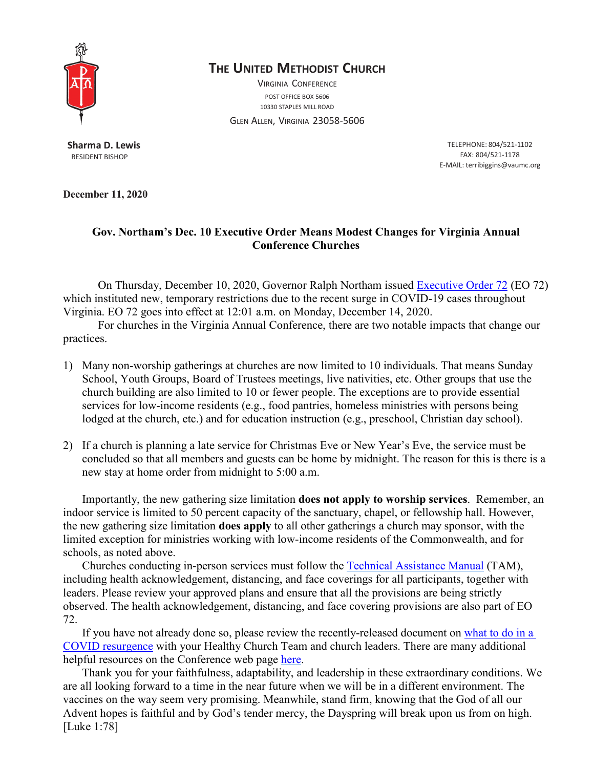

## **THE UNITED METHODIST CHURCH**

VIRGINIA CONFERENCE POST OFFICE BOX 5606 10330 STAPLES MILL ROAD

GLEN ALLEN, VIRGINIA 23058-5606

**Sharma D. Lewis** RESIDENT BISHOP

TELEPHONE: 804/521-1102 FAX: 804/521-1178 E-MAIL: [terribiggins@vaumc.org](mailto:terribiggins@vaumc.org)

**December 11, 2020**

## **Gov. Northam's Dec. 10 Executive Order Means Modest Changes for Virginia Annual Conference Churches**

On Thursday, December 10, 2020, Governor Ralph Northam issued [Executive](https://www.governor.virginia.gov/media/governorvirginiagov/executive-actions/EO-72-and-Order-of-Public-Health-Emergency-Nine-Common-Sense-Surge-Restrictions-Certain-Temporary-Restrictions-Due-to-Novel-Coronavirus-(COVID-19).pdf) Order 72 (EO 72) which instituted new, temporary restrictions due to the recent surge in COVID-19 cases throughout Virginia. EO 72 goes into effect at 12:01 a.m. on Monday, December 14, 2020.

For churches in the Virginia Annual Conference, there are two notable impacts that change our practices.

- 1) Many non-worship gatherings at churches are now limited to 10 individuals. That means Sunday School, Youth Groups, Board of Trustees meetings, live nativities, etc. Other groups that use the church building are also limited to 10 or fewer people. The exceptions are to provide essential services for low-income residents (e.g., food pantries, homeless ministries with persons being lodged at the church, etc.) and for education instruction (e.g., preschool, Christian day school).
- 2) If a church is planning a late service for Christmas Eve or New Year's Eve, the service must be concluded so that all members and guests can be home by midnight. The reason for this is there is a new stay at home order from midnight to 5:00 a.m.

Importantly, the new gathering size limitation **does not apply to worship services**. Remember, an indoor service is limited to 50 percent capacity of the sanctuary, chapel, or fellowship hall. However, the new gathering size limitation **does apply** to all other gatherings a church may sponsor, with the limited exception for ministries working with low-income residents of the Commonwealth, and for schools, as noted above.

Churches conducting in-person services must follow the Technical [Assistance](http://doc.vaumc.org/News2020/TAM.pdf) Manual (TAM), including health acknowledgement, distancing, and face coverings for all participants, together with leaders. Please review your approved plans and ensure that all the provisions are being strictly observed. The health acknowledgement, distancing, and face covering provisions are also part of EO 72.

If you have not already done so, please review the recently-released document on [what](http://doc.vaumc.org/News2020/HCTGuidance.pdf) to do in a COVID [resurgence](http://doc.vaumc.org/News2020/HCTGuidance.pdf) with your Healthy Church Team and church leaders. There are many additional helpful resources on the Conference web page [here.](http://vaumc.org/return)

Thank you for your faithfulness, adaptability, and leadership in these extraordinary conditions. We are all looking forward to a time in the near future when we will be in a different environment. The vaccines on the way seem very promising. Meanwhile, stand firm, knowing that the God of all our Advent hopes is faithful and by God's tender mercy, the Dayspring will break upon us from on high. [Luke 1:78]